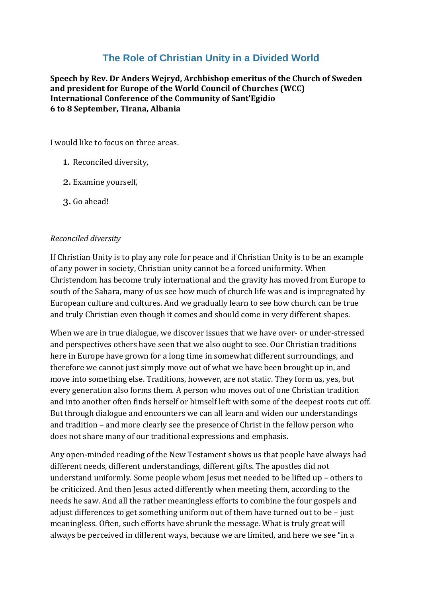## **The Role of Christian Unity in a Divided World**

**Speech by Rev. Dr Anders Wejryd, Archbishop emeritus of the Church of Sweden and president for Europe of the World Council of Churches (WCC) International Conference of the Community of Sant'Egidio 6 to 8 September, Tirana, Albania**

I would like to focus on three areas.

- 1. Reconciled diversity,
- 2. Examine yourself,
- 3. Go ahead!

## *Reconciled diversity*

If Christian Unity is to play any role for peace and if Christian Unity is to be an example of any power in society, Christian unity cannot be a forced uniformity. When Christendom has become truly international and the gravity has moved from Europe to south of the Sahara, many of us see how much of church life was and is impregnated by European culture and cultures. And we gradually learn to see how church can be true and truly Christian even though it comes and should come in very different shapes.

When we are in true dialogue, we discover issues that we have over- or under-stressed and perspectives others have seen that we also ought to see. Our Christian traditions here in Europe have grown for a long time in somewhat different surroundings, and therefore we cannot just simply move out of what we have been brought up in, and move into something else. Traditions, however, are not static. They form us, yes, but every generation also forms them. A person who moves out of one Christian tradition and into another often finds herself or himself left with some of the deepest roots cut off. But through dialogue and encounters we can all learn and widen our understandings and tradition – and more clearly see the presence of Christ in the fellow person who does not share many of our traditional expressions and emphasis.

Any open-minded reading of the New Testament shows us that people have always had different needs, different understandings, different gifts. The apostles did not understand uniformly. Some people whom Jesus met needed to be lifted up – others to be criticized. And then Jesus acted differently when meeting them, according to the needs he saw. And all the rather meaningless efforts to combine the four gospels and adjust differences to get something uniform out of them have turned out to be – just meaningless. Often, such efforts have shrunk the message. What is truly great will always be perceived in different ways, because we are limited, and here we see "in a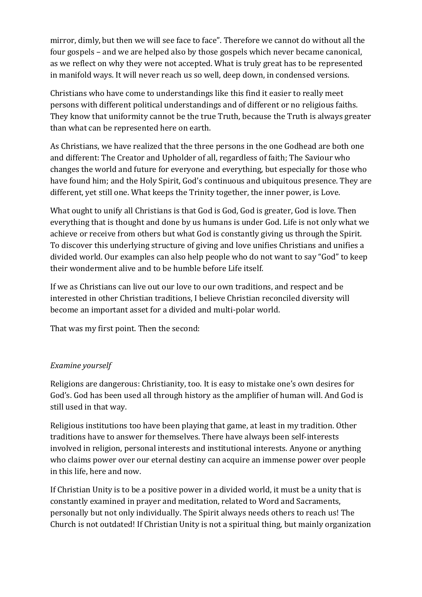mirror, dimly, but then we will see face to face". Therefore we cannot do without all the four gospels – and we are helped also by those gospels which never became canonical, as we reflect on why they were not accepted. What is truly great has to be represented in manifold ways. It will never reach us so well, deep down, in condensed versions.

Christians who have come to understandings like this find it easier to really meet persons with different political understandings and of different or no religious faiths. They know that uniformity cannot be the true Truth, because the Truth is always greater than what can be represented here on earth.

As Christians, we have realized that the three persons in the one Godhead are both one and different: The Creator and Upholder of all, regardless of faith; The Saviour who changes the world and future for everyone and everything, but especially for those who have found him; and the Holy Spirit, God's continuous and ubiquitous presence. They are different, yet still one. What keeps the Trinity together, the inner power, is Love.

What ought to unify all Christians is that God is God, God is greater, God is love. Then everything that is thought and done by us humans is under God. Life is not only what we achieve or receive from others but what God is constantly giving us through the Spirit. To discover this underlying structure of giving and love unifies Christians and unifies a divided world. Our examples can also help people who do not want to say "God" to keep their wonderment alive and to be humble before Life itself.

If we as Christians can live out our love to our own traditions, and respect and be interested in other Christian traditions, I believe Christian reconciled diversity will become an important asset for a divided and multi-polar world.

That was my first point. Then the second:

## *Examine yourself*

Religions are dangerous: Christianity, too. It is easy to mistake one's own desires for God's. God has been used all through history as the amplifier of human will. And God is still used in that way.

Religious institutions too have been playing that game, at least in my tradition. Other traditions have to answer for themselves. There have always been self-interests involved in religion, personal interests and institutional interests. Anyone or anything who claims power over our eternal destiny can acquire an immense power over people in this life, here and now.

If Christian Unity is to be a positive power in a divided world, it must be a unity that is constantly examined in prayer and meditation, related to Word and Sacraments, personally but not only individually. The Spirit always needs others to reach us! The Church is not outdated! If Christian Unity is not a spiritual thing, but mainly organization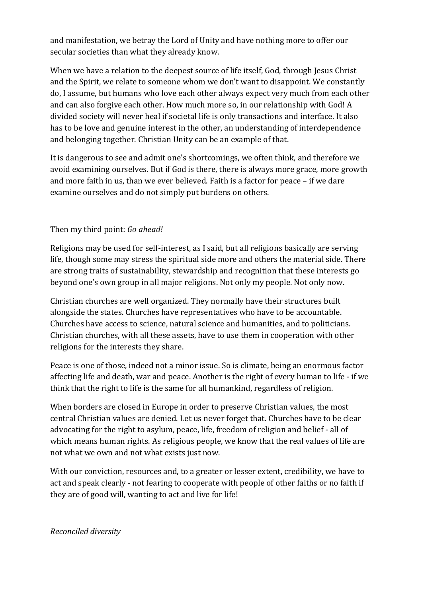and manifestation, we betray the Lord of Unity and have nothing more to offer our secular societies than what they already know.

When we have a relation to the deepest source of life itself, God, through Jesus Christ and the Spirit, we relate to someone whom we don't want to disappoint. We constantly do, I assume, but humans who love each other always expect very much from each other and can also forgive each other. How much more so, in our relationship with God! A divided society will never heal if societal life is only transactions and interface. It also has to be love and genuine interest in the other, an understanding of interdependence and belonging together. Christian Unity can be an example of that.

It is dangerous to see and admit one's shortcomings, we often think, and therefore we avoid examining ourselves. But if God is there, there is always more grace, more growth and more faith in us, than we ever believed. Faith is a factor for peace – if we dare examine ourselves and do not simply put burdens on others.

## Then my third point: *Go ahead!*

Religions may be used for self-interest, as I said, but all religions basically are serving life, though some may stress the spiritual side more and others the material side. There are strong traits of sustainability, stewardship and recognition that these interests go beyond one's own group in all major religions. Not only my people. Not only now.

Christian churches are well organized. They normally have their structures built alongside the states. Churches have representatives who have to be accountable. Churches have access to science, natural science and humanities, and to politicians. Christian churches, with all these assets, have to use them in cooperation with other religions for the interests they share.

Peace is one of those, indeed not a minor issue. So is climate, being an enormous factor affecting life and death, war and peace. Another is the right of every human to life - if we think that the right to life is the same for all humankind, regardless of religion.

When borders are closed in Europe in order to preserve Christian values, the most central Christian values are denied. Let us never forget that. Churches have to be clear advocating for the right to asylum, peace, life, freedom of religion and belief - all of which means human rights. As religious people, we know that the real values of life are not what we own and not what exists just now.

With our conviction, resources and, to a greater or lesser extent, credibility, we have to act and speak clearly - not fearing to cooperate with people of other faiths or no faith if they are of good will, wanting to act and live for life!

*Reconciled diversity*